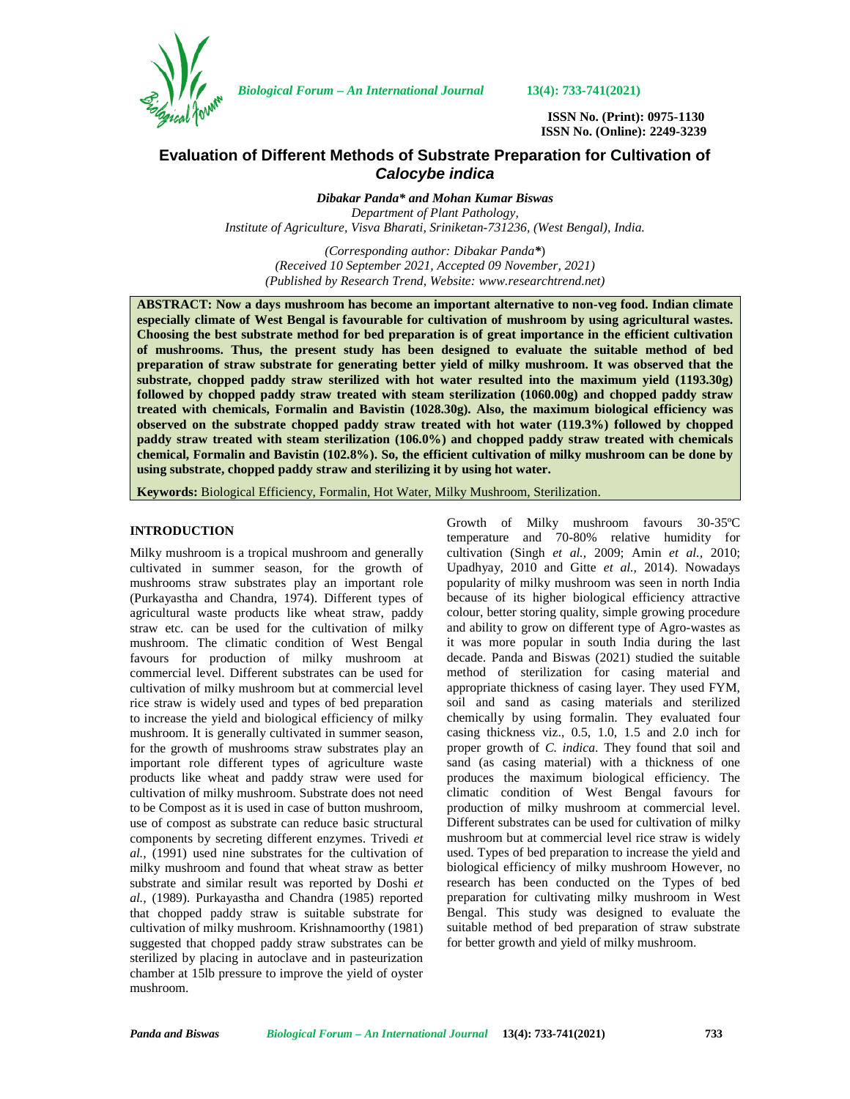

*Biological Forum – An International Journal* **13(4): 733-741(2021)**

**ISSN No. (Print): 0975-1130 ISSN No. (Online): 2249-3239**

# **Evaluation of Different Methods of Substrate Preparation for Cultivation of** *Calocybe indica*

*Dibakar Panda\* and Mohan Kumar Biswas Department of Plant Pathology, Institute of Agriculture, Visva Bharati, Sriniketan-731236, (West Bengal), India.*

*(Corresponding author: Dibakar Panda\**) *(Received 10 September 2021, Accepted 09 November, 2021) (Published by Research Trend, Website: [www.researchtrend.net\)](www.researchtrend.net)*

**ABSTRACT: Now a days mushroom has become an important alternative to non-veg food. Indian climate especially climate of West Bengal is favourable for cultivation of mushroom by using agricultural wastes. Choosing the best substrate method for bed preparation is of great importance in the efficient cultivation of mushrooms. Thus, the present study has been designed to evaluate the suitable method of bed preparation of straw substrate for generating better yield of milky mushroom. It was observed that the substrate, chopped paddy straw sterilized with hot water resulted into the maximum yield (1193.30g) followed by chopped paddy straw treated with steam sterilization (1060.00g) and chopped paddy straw treated with chemicals, Formalin and Bavistin (1028.30g). Also, the maximum biological efficiency was observed on the substrate chopped paddy straw treated with hot water (119.3%) followed by chopped paddy straw treated with steam sterilization (106.0%) and chopped paddy straw treated with chemicals chemical, Formalin and Bavistin (102.8%). So, the efficient cultivation of milky mushroom can be done by using substrate, chopped paddy straw and sterilizing it by using hot water.**

**Keywords:** Biological Efficiency, Formalin, Hot Water, Milky Mushroom, Sterilization.

### **INTRODUCTION**

Milky mushroom is a tropical mushroom and generally cultivated in summer season, for the growth of mushrooms straw substrates play an important role (Purkayastha and Chandra, 1974). Different types of agricultural waste products like wheat straw, paddy straw etc. can be used for the cultivation of milky mushroom. The climatic condition of West Bengal favours for production of milky mushroom at commercial level. Different substrates can be used for cultivation of milky mushroom but at commercial level rice straw is widely used and types of bed preparation to increase the yield and biological efficiency of milky mushroom. It is generally cultivated in summer season, for the growth of mushrooms straw substrates play an important role different types of agriculture waste products like wheat and paddy straw were used for cultivation of milky mushroom. Substrate does not need to be Compost as it is used in case of button mushroom, use of compost as substrate can reduce basic structural components by secreting different enzymes. Trivedi *et al.,* (1991) used nine substrates for the cultivation of milky mushroom and found that wheat straw as better substrate and similar result was reported by Doshi *et al.,* (1989). Purkayastha and Chandra (1985) reported that chopped paddy straw is suitable substrate for cultivation of milky mushroom. Krishnamoorthy (1981) suggested that chopped paddy straw substrates can be sterilized by placing in autoclave and in pasteurization chamber at 15lb pressure to improve the yield of oyster mushroom.

Growth of Milky mushroom favours 30-35ºC temperature and 70-80% relative humidity for cultivation (Singh *et al.,* 2009; Amin *et al.,* 2010; Upadhyay, 2010 and Gitte *et al.,* 2014). Nowadays popularity of milky mushroom was seen in north India because of its higher biological efficiency attractive colour, better storing quality, simple growing procedure and ability to grow on different type of Agro-wastes as it was more popular in south India during the last decade. Panda and Biswas (2021) studied the suitable method of sterilization for casing material and appropriate thickness of casing layer. They used FYM, soil and sand as casing materials and sterilized chemically by using formalin. They evaluated four casing thickness viz., 0.5, 1.0, 1.5 and 2.0 inch for proper growth of *C. indica*. They found that soil and sand (as casing material) with a thickness of one produces the maximum biological efficiency. The climatic condition of West Bengal favours for production of milky mushroom at commercial level. Different substrates can be used for cultivation of milky mushroom but at commercial level rice straw is widely used. Types of bed preparation to increase the yield and biological efficiency of milky mushroom However, no research has been conducted on the Types of bed preparation for cultivating milky mushroom in West Bengal. This study was designed to evaluate the suitable method of bed preparation of straw substrate for better growth and yield of milky mushroom.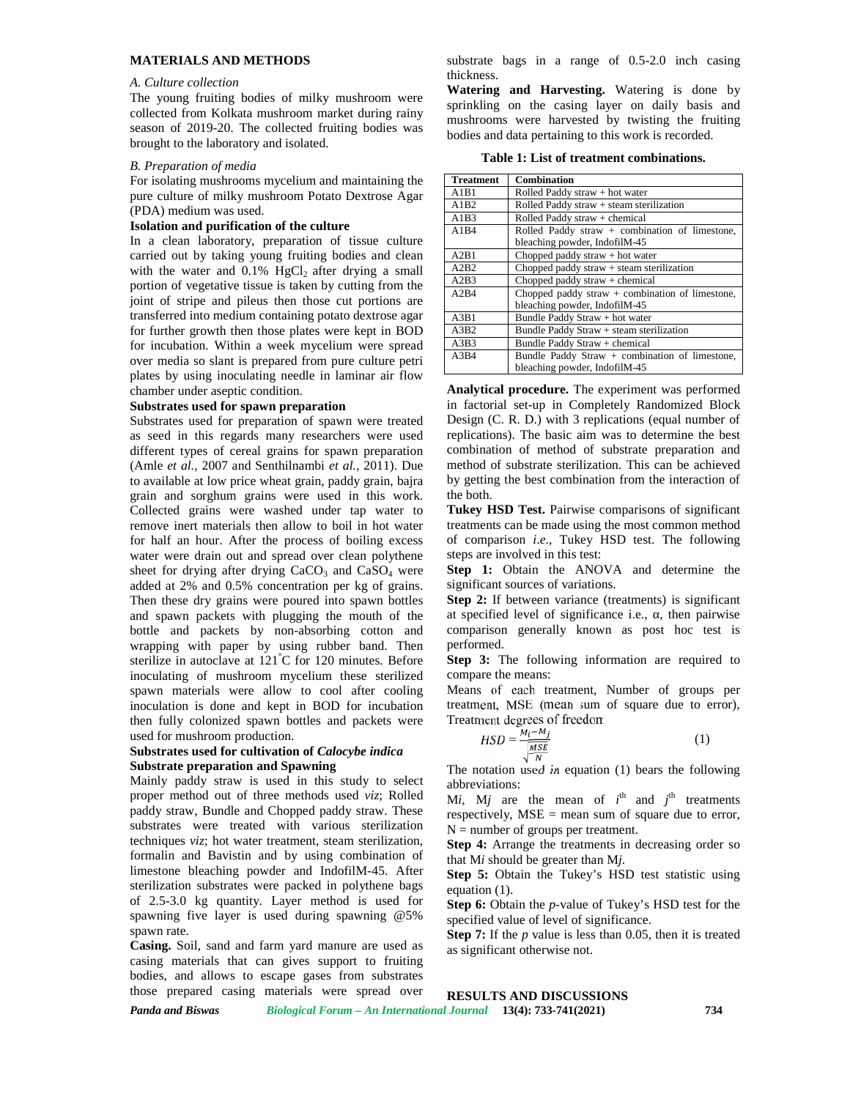# **MATERIALS AND METHODS**

#### *A. Culture collection*

The young fruiting bodies of milky mushroom were collected from Kolkata mushroom market during rainy season of 2019-20. The collected fruiting bodies was brought to the laboratory and isolated.

#### *B. Preparation of media*

For isolating mushrooms mycelium and maintaining the pure culture of milky mushroom Potato Dextrose Agar (PDA) medium was used.

#### **Isolation and purification of the culture**

In a clean laboratory, preparation of tissue culture carried out by taking young fruiting bodies and clean with the water and  $0.1\%$  HgCl<sub>2</sub> after drying a small portion of vegetative tissue is taken by cutting from the joint of stripe and pileus then those cut portions are transferred into medium containing potato dextrose agar for further growth then those plates were kept in BOD for incubation. Within a week mycelium were spread over media so slant is prepared from pure culture petri plates by using inoculating needle in laminar air flow chamber under aseptic condition.

#### **Substrates used for spawn preparation**

Substrates used for preparation of spawn were treated as seed in this regards many researchers were used different types of cereal grains for spawn preparation (Amle *et al.,* 2007 and Senthilnambi *et al.,* 2011). Due to available at low price wheat grain, paddy grain, bajra grain and sorghum grains were used in this work. Collected grains were washed under tap water to remove inert materials then allow to boil in hot water for half an hour. After the process of boiling excess water were drain out and spread over clean polythene sheet for drying after drying  $CaCO<sub>3</sub>$  and  $CaSO<sub>4</sub>$  were added at 2% and 0.5% concentration per kg of grains. Then these dry grains were poured into spawn bottles and spawn packets with plugging the mouth of the bottle and packets by non-absorbing cotton and wrapping with paper by using rubber band. Then sterilize in autoclave at 121**°**C for 120 minutes. Before inoculating of mushroom mycelium these sterilized spawn materials were allow to cool after cooling inoculation is done and kept in BOD for incubation then fully colonized spawn bottles and packets were used for mushroom production.

#### **Substrates used for cultivation of** *Calocybe indica* **Substrate preparation and Spawning**

Mainly paddy straw is used in this study to select proper method out of three methods used *viz*; Rolled paddy straw, Bundle and Chopped paddy straw. These substrates were treated with various sterilization techniques *viz*; hot water treatment, steam sterilization, formalin and Bavistin and by using combination of limestone bleaching powder and IndofilM-45. After sterilization substrates were packed in polythene bags of 2.5-3.0 kg quantity. Layer method is used for spawning five layer is used during spawning @5% spawn rate.

**Casing.** Soil, sand and farm yard manure are used as casing materials that can gives support to fruiting bodies, and allows to escape gases from substrates those prepared casing materials were spread over substrate bags in a range of 0.5-2.0 inch casing thickness.

**Watering and Harvesting.** Watering is done by sprinkling on the casing layer on daily basis and mushrooms were harvested by twisting the fruiting bodies and data pertaining to this work is recorded.

**Table 1: List of treatment combinations.**

| <b>Treatment</b> | <b>Combination</b>                                |
|------------------|---------------------------------------------------|
| A1B1             | Rolled Paddy straw + hot water                    |
| A1B2             | Rolled Paddy straw + steam sterilization          |
| A1B3             | Rolled Paddy straw + chemical                     |
| A1B4             | Rolled Paddy straw + combination of limestone,    |
|                  | bleaching powder, IndofilM-45                     |
| A2B1             | Chopped paddy straw $+$ hot water                 |
| A2B2             | Chopped paddy straw $+$ steam sterilization       |
| A2B3             | Chopped paddy straw $+$ chemical                  |
| A2B4             | Chopped paddy straw $+$ combination of limestone, |
|                  | bleaching powder, IndofilM-45                     |
| A3B1             | Bundle Paddy Straw + hot water                    |
| A3B2             | Bundle Paddy Straw + steam sterilization          |
| A3B3             | Bundle Paddy Straw + chemical                     |
| A3B4             | Bundle Paddy Straw + combination of limestone,    |
|                  | bleaching powder, IndofilM-45                     |

**Analytical procedure.** The experiment was performed in factorial set-up in Completely Randomized Block Design (C. R. D.) with 3 replications (equal number of replications). The basic aim was to determine the best combination of method of substrate preparation and method of substrate sterilization. This can be achieved by getting the best combination from the interaction of the both.

**Tukey HSD Test.** Pairwise comparisons of significant treatments can be made using the most common method of comparison *i*.*e*., Tukey HSD test. The following steps are involved in this test:

**Step 1:** Obtain the ANOVA and determine the significant sources of variations.

**Step 2:** If between variance (treatments) is significant at specified level of significance i.e., then pairwise comparison generally known as post hoc test is performed.

**Step 3:** The following information are required to compare the means:

Means of each treatment, Number of groups per treatment, MSE (mean sum of square due to error), Treatment degrees of freedom

$$
HSD = \frac{M_i - M_j}{\sqrt{\frac{MSE}{N}}} \tag{1}
$$

The notation used in equation (1) bears the following abbreviations:

M*i*, M*j* are the mean of  $i^{\text{th}}$  and  $j^{\text{th}}$  treatments respectively, MSE = mean sum of square due to error,  $N =$  number of groups per treatment.

**Step 4:** Arrange the treatments in decreasing order so that M*i* should be greater than M*j*.

**Step 5:** Obtain the Tukey's HSD test statistic using equation (1).

**Step 6:** Obtain the *p*-value of Tukey's HSD test for the specified value of level of significance.

**Step 7:** If the *p* value is less than 0.05, then it is treated as significant otherwise not.

# **RESULTS AND DISCUSSIONS**

*Panda and Biswas Biological Forum – An International Journal* **13(4): 733-741(2021) 734**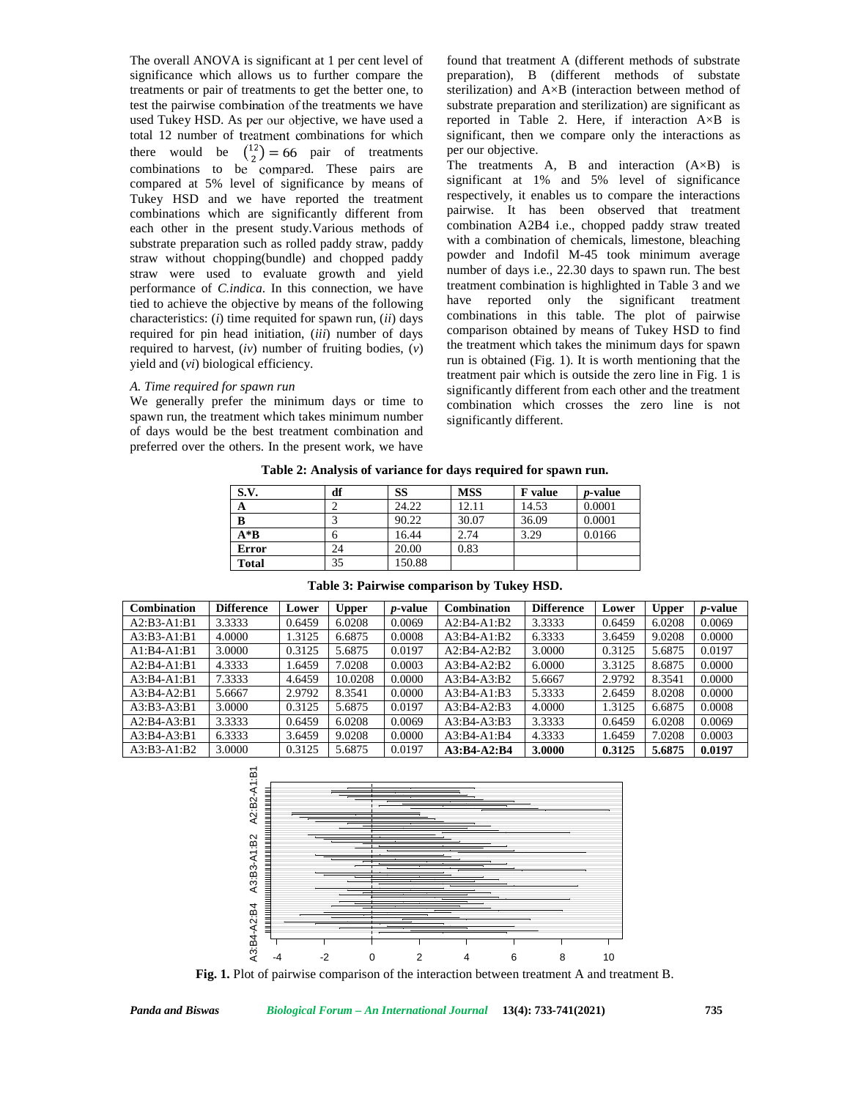The overall ANOVA is significant at 1 per cent level of significance which allows us to further compare the treatments or pair of treatments to get the better one, to test the pairwise combination of the treatments we have used Tukey HSD. As per our objective, we have used a total 12 number of treatment combinations for which there would be  $\binom{12}{2} = 66$  pair of treatments combinations to be compared. These pairs are compared at 5% level of significance by means of Tukey HSD and we have reported the treatment combinations which are significantly different from each other in the present study.Various methods of substrate preparation such as rolled paddy straw, paddy straw without chopping(bundle) and chopped paddy straw were used to evaluate growth and yield performance of *C.indica*. In this connection, we have tied to achieve the objective by means of the following characteristics: (*i*) time requited for spawn run, (*ii*) days required for pin head initiation, (*iii*) number of days required to harvest, (*iv*) number of fruiting bodies, (*v*) yield and (*vi*) biological efficiency.

### *A. Time required for spawn run*

We generally prefer the minimum days or time to spawn run, the treatment which takes minimum number of days would be the best treatment combination and preferred over the others. In the present work, we have

found that treatment A (different methods of substrate preparation), B (different methods of substate sterilization) and A×B (interaction between method of substrate preparation and sterilization) are significant as reported in Table 2. Here, if interaction  $A \times B$  is significant, then we compare only the interactions as per our objective.

The treatments  $A$ ,  $B$  and interaction  $(A \times B)$  is significant at 1% and 5% level of significance respectively, it enables us to compare the interactions pairwise. It has been observed that treatment combination A2B4 i.e., chopped paddy straw treated with a combination of chemicals, limestone, bleaching powder and Indofil M-45 took minimum average number of days i.e., 22.30 days to spawn run. The best treatment combination is highlighted in Table 3 and we have reported only the significant treatment combinations in this table. The plot of pairwise comparison obtained by means of Tukey HSD to find the treatment which takes the minimum days for spawn run is obtained (Fig. 1). It is worth mentioning that the treatment pair which is outside the zero line in Fig. 1 is significantly different from each other and the treatment combination which crosses the zero line is not significantly different.

**Table 2: Analysis of variance for days required for spawn run.**

| S.V.         | df | SS     | <b>MSS</b> | <b>F</b> value | <i>p</i> -value |
|--------------|----|--------|------------|----------------|-----------------|
| A            |    | 24.22  | 12.11      | 14.53          | 0.0001          |
| B            |    | 90.22  | 30.07      | 36.09          | 0.0001          |
| $A * B$      |    | 16.44  | 2.74       | 3.29           | 0.0166          |
| <b>Error</b> | 24 | 20.00  | 0.83       |                |                 |
| <b>Total</b> | 35 | 150.88 |            |                |                 |

| <b>Combination</b> | <b>Difference</b> | Lower  | <b>Upper</b> | <i>p</i> -value | <b>Combination</b> | <b>Difference</b> | Lower  | <b>Upper</b> | <i>p</i> -value |
|--------------------|-------------------|--------|--------------|-----------------|--------------------|-------------------|--------|--------------|-----------------|
| $A2:B3-A1:B1$      | 3.3333            | 0.6459 | 6.0208       | 0.0069          | $A2:B4-A1:B2$      | 3.3333            | 0.6459 | 6.0208       | 0.0069          |
| $A3:B3-A1:B1$      | 4.0000            | 1.3125 | 6.6875       | 0.0008          | $A3:B4-A1:B2$      | 6.3333            | 3.6459 | 9.0208       | 0.0000          |
| $A1:B4-A1:B1$      | 3.0000            | 0.3125 | 5.6875       | 0.0197          | $A2:B4-A2:B2$      | 3.0000            | 0.3125 | 5.6875       | 0.0197          |
| $A2:B4-A1:B1$      | 4.3333            | 1.6459 | 7.0208       | 0.0003          | $A3:B4-A2:B2$      | 6.0000            | 3.3125 | 8.6875       | 0.0000          |
| $A3:B4-A1:B1$      | 7.3333            | 4.6459 | 10.0208      | 0.0000          | $A3:B4-A3:B2$      | 5.6667            | 2.9792 | 8.3541       | 0.0000          |
| $A3:B4-A2:B1$      | 5.6667            | 2.9792 | 8.3541       | 0.0000          | $A3:B4-A1:B3$      | 5.3333            | 2.6459 | 8.0208       | 0.0000          |
| $A3:B3-A3:B1$      | 3.0000            | 0.3125 | 5.6875       | 0.0197          | $A3:B4-A2:B3$      | 4.0000            | 1.3125 | 6.6875       | 0.0008          |
| $A2:B4-A3:B1$      | 3.3333            | 0.6459 | 6.0208       | 0.0069          | $A3:B4-A3:B3$      | 3.3333            | 0.6459 | 6.0208       | 0.0069          |
| $A3:B4-A3:B1$      | 6.3333            | 3.6459 | 9.0208       | 0.0000          | $A3:B4-A1:B4$      | 4.3333            | 1.6459 | 7.0208       | 0.0003          |
| $A3:B3-A1:B2$      | 3.0000            | 0.3125 | 5.6875       | 0.0197          | $A3:B4-A2:B4$      | 3.0000            | 0.3125 | 5.6875       | 0.0197          |

**Table 3: Pairwise comparison by Tukey HSD.**

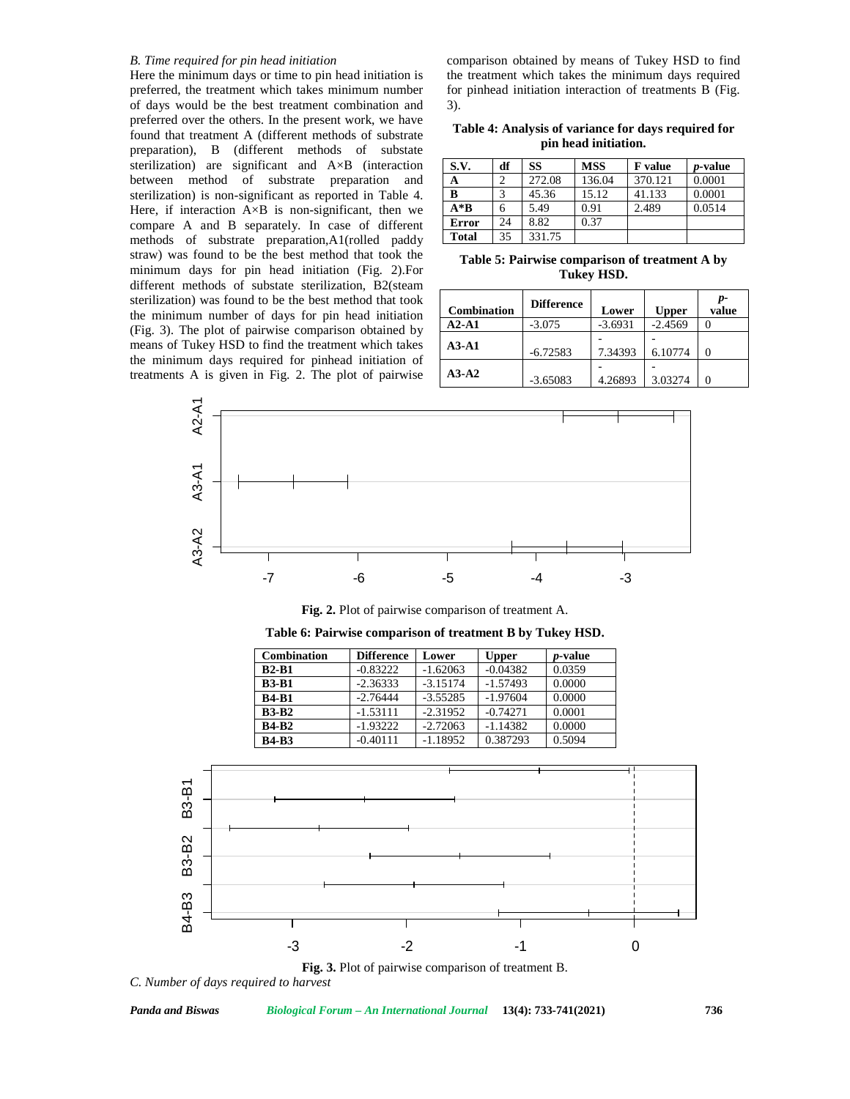#### *B. Time required for pin head initiation*

Here the minimum days or time to pin head initiation is preferred, the treatment which takes minimum number of days would be the best treatment combination and preferred over the others. In the present work, we have found that treatment A (different methods of substrate preparation), B (different methods of substate sterilization) are significant and A×B (interaction between method of substrate preparation and sterilization) is non-significant as reported in Table 4. Here, if interaction  $A \times B$  is non-significant, then we compare A and B separately. In case of different methods of substrate preparation,A1(rolled paddy straw) was found to be the best method that took the minimum days for pin head initiation (Fig. 2).For different methods of substate sterilization, B2(steam sterilization) was found to be the best method that took the minimum number of days for pin head initiation (Fig. 3). The plot of pairwise comparison obtained by means of Tukey HSD to find the treatment which takes the minimum days required for pinhead initiation of treatments A is given in Fig. 2. The plot of pairwise  $\begin{bmatrix} A3-A2 \end{bmatrix}$   $\begin{bmatrix} 365083 \end{bmatrix}$ 

comparison obtained by means of Tukey HSD to find the treatment which takes the minimum days required for pinhead initiation interaction of treatments B (Fig. 3).

| Table 4: Analysis of variance for days required for |  |
|-----------------------------------------------------|--|
| pin head initiation.                                |  |

| S.V.         | df | SS     | <b>MSS</b> | <b>F</b> value | <i>p</i> -value |
|--------------|----|--------|------------|----------------|-----------------|
| A            |    | 272.08 | 136.04     | 370.121        | 0.0001          |
| B            |    | 45.36  | 15.12      | 41.133         | 0.0001          |
| $A * B$      | h  | 5.49   | 0.91       | 2.489          | 0.0514          |
| Error        | 24 | 8.82   | 0.37       |                |                 |
| <b>Total</b> | 35 | 331.75 |            |                |                 |

**Table 5: Pairwise comparison of treatment A by Tukey HSD.**

| <b>Combination</b> | <b>Difference</b> | Lower     | Upper     | p-<br>value |
|--------------------|-------------------|-----------|-----------|-------------|
| $A2-A1$            | $-3.075$          | $-3.6931$ | $-2.4569$ |             |
| $A3-A1$            | $-6.72583$        | 7.34393   | 6.10774   |             |
| $A3-A2$            | $-3.65083$        | 4.26893   | 3.03274   |             |



Fig. 2. Plot of pairwise comparison of treatment A. **Table 6: Pairwise comparison of treatment B by Tukey HSD.**

| Combination  | <b>Difference</b> | Lower      | <b>Upper</b> | <i>p</i> -value |
|--------------|-------------------|------------|--------------|-----------------|
| $B2-B1$      | $-0.83222$        | $-1.62063$ | $-0.04382$   | 0.0359          |
| <b>B3-B1</b> | $-2.36333$        | $-3.15174$ | $-1.57493$   | 0.0000          |
| <b>B4-B1</b> | $-2.76444$        | $-3.55285$ | $-1.97604$   | 0.0000          |
| <b>B3-B2</b> | $-1.53111$        | $-2.31952$ | $-0.74271$   | 0.0001          |
| <b>B4-B2</b> | $-1.93222$        | $-2.72063$ | $-1.14382$   | 0.0000          |
| <b>B4-B3</b> | $-0.40111$        | $-1.18952$ | 0.387293     | 0.5094          |





*C. Number of days required to harvest*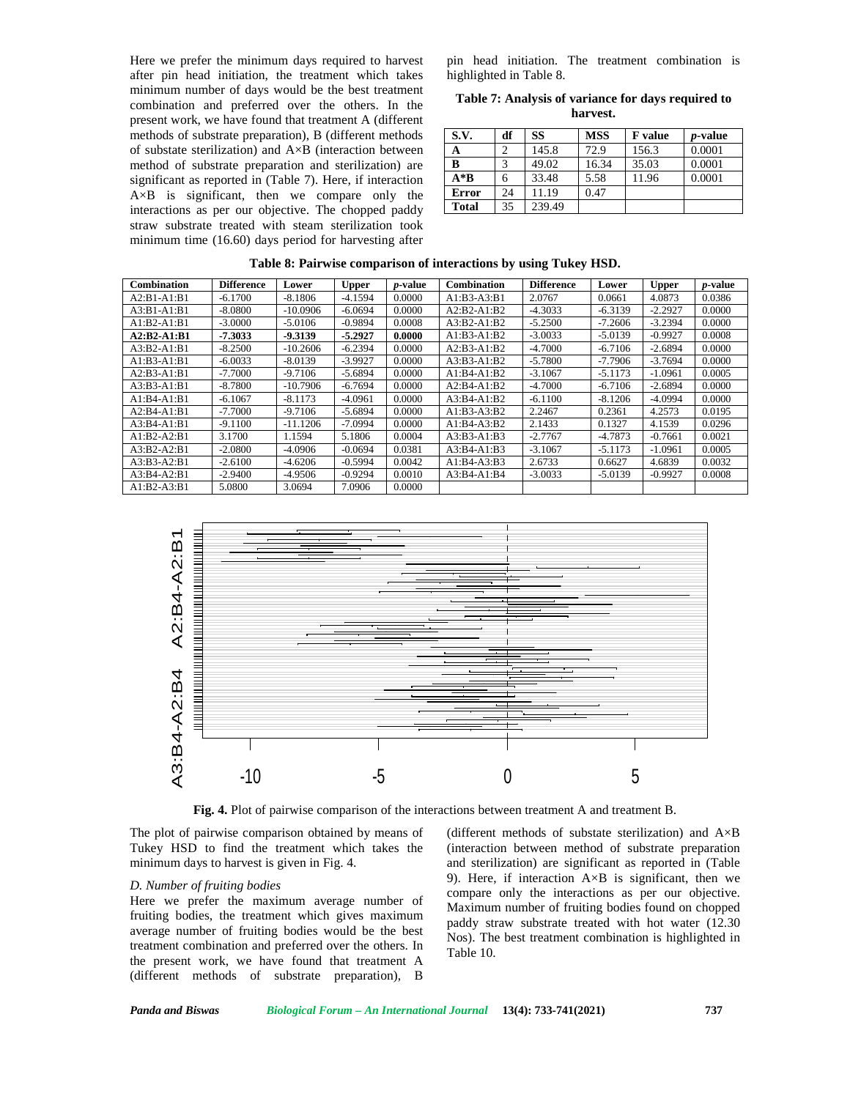Here we prefer the minimum days required to harvest after pin head initiation, the treatment which takes minimum number of days would be the best treatment combination and preferred over the others. In the present work, we have found that treatment A (different methods of substrate preparation), B (different methods of substate sterilization) and A×B (interaction between method of substrate preparation and sterilization) are significant as reported in (Table 7). Here, if interaction A×B is significant, then we compare only the interactions as per our objective. The chopped paddy straw substrate treated with steam sterilization took minimum time (16.60) days period for harvesting after

pin head initiation. The treatment combination is highlighted in Table 8.

**Table 7: Analysis of variance for days required to harvest.**

| S.V.         | df | SS     | <b>MSS</b> | <b>F</b> value | <i>p</i> -value |
|--------------|----|--------|------------|----------------|-----------------|
| A            |    | 145.8  | 72.9       | 156.3          | 0.0001          |
| B            |    | 49.02  | 16.34      | 35.03          | 0.0001          |
| $A * B$      | o  | 33.48  | 5.58       | 11.96          | 0.0001          |
| Error        | 24 | 11.19  | 0.47       |                |                 |
| <b>Total</b> | 35 | 239.49 |            |                |                 |

| <b>Combination</b> | <b>Difference</b> | Lower      | <b>Upper</b> | <i>p</i> -value | <b>Combination</b> | <b>Difference</b> | Lower     | <b>Upper</b> | <i>p</i> -value |
|--------------------|-------------------|------------|--------------|-----------------|--------------------|-------------------|-----------|--------------|-----------------|
| $A2:B1-A1:B1$      | $-6.1700$         | $-8.1806$  | $-4.1594$    | 0.0000          | $A1:B3-A3:B1$      | 2.0767            | 0.0661    | 4.0873       | 0.0386          |
| $A3:B1-A1:B1$      | $-8.0800$         | $-10.0906$ | $-6.0694$    | 0.0000          | $A2:B2-A1:B2$      | $-4.3033$         | $-6.3139$ | $-2.2927$    | 0.0000          |
| $A1:B2-A1:B1$      | $-3.0000$         | $-5.0106$  | $-0.9894$    | 0.0008          | $A3:B2-A1:B2$      | $-5.2500$         | $-7.2606$ | $-3.2394$    | 0.0000          |
| $A2:B2-A1:B1$      | $-7.3033$         | $-9.3139$  | $-5.2927$    | 0.0000          | $A1:B3-A1:B2$      | $-3.0033$         | $-5.0139$ | $-0.9927$    | 0.0008          |
| $A3:B2-A1:B1$      | $-8.2500$         | $-10.2606$ | $-6.2394$    | 0.0000          | $A2:B3-A1:B2$      | $-4.7000$         | $-6.7106$ | $-2.6894$    | 0.0000          |
| $A1:B3-A1:B1$      | $-6.0033$         | $-8.0139$  | $-3.9927$    | 0.0000          | $A3:B3-A1:B2$      | $-5.7800$         | $-7.7906$ | $-3.7694$    | 0.0000          |
| $A2:B3-A1:B1$      | $-7.7000$         | $-9.7106$  | $-5.6894$    | 0.0000          | $A1:B4-A1:B2$      | $-3.1067$         | $-5.1173$ | $-1.0961$    | 0.0005          |
| $A3:B3-A1:B1$      | $-8.7800$         | $-10.7906$ | $-6.7694$    | 0.0000          | $A2:B4-A1:B2$      | $-4.7000$         | $-6.7106$ | $-2.6894$    | 0.0000          |
| $A1:B4-A1:B1$      | $-6.1067$         | $-8.1173$  | $-4.0961$    | 0.0000          | $A3:B4-A1:B2$      | $-6.1100$         | $-8.1206$ | $-4.0994$    | 0.0000          |
| $A2:B4-A1:B1$      | $-7.7000$         | $-9.7106$  | $-5.6894$    | 0.0000          | $A1:B3-A3:B2$      | 2.2467            | 0.2361    | 4.2573       | 0.0195          |
| $A3:B4-A1:B1$      | $-9.1100$         | $-11.1206$ | $-7.0994$    | 0.0000          | $A1:B4-A3:B2$      | 2.1433            | 0.1327    | 4.1539       | 0.0296          |
| $A1:B2-A2:B1$      | 3.1700            | 1.1594     | 5.1806       | 0.0004          | $A3:B3-A1:B3$      | $-2.7767$         | $-4.7873$ | $-0.7661$    | 0.0021          |
| $A3:B2-A2:B1$      | $-2.0800$         | $-4.0906$  | $-0.0694$    | 0.0381          | $A3:B4-A1:B3$      | $-3.1067$         | $-5.1173$ | $-1.0961$    | 0.0005          |
| $A3:B3-A2:B1$      | $-2.6100$         | $-4.6206$  | $-0.5994$    | 0.0042          | $A1:B4-A3:B3$      | 2.6733            | 0.6627    | 4.6839       | 0.0032          |
| $A3:B4-A2:B1$      | $-2.9400$         | $-4.9506$  | $-0.9294$    | 0.0010          | $A3:B4-A1:B4$      | $-3.0033$         | $-5.0139$ | $-0.9927$    | 0.0008          |
| $A1:B2-A3:B1$      | 5.0800            | 3.0694     | 7.0906       | 0.0000          |                    |                   |           |              |                 |

**Table 8: Pairwise comparison of interactions by using Tukey HSD.**



**Fig. 4.** Plot of pairwise comparison of the interactions between treatment A and treatment B.

The plot of pairwise comparison obtained by means of Tukey HSD to find the treatment which takes the minimum days to harvest is given in Fig. 4.

#### *D. Number of fruiting bodies*

Here we prefer the maximum average number of fruiting bodies, the treatment which gives maximum average number of fruiting bodies would be the best treatment combination and preferred over the others. In the present work, we have found that treatment A (different methods of substrate preparation), B

I by means of (different methods of substate sterilization) and  $A \times B$ (interaction between method of substrate preparation and sterilization) are significant as reported in (Table 9). Here, if interaction  $A \times B$  is significant, then we compare only the interactions as per our objective. Maximum number of fruiting bodies found on chopped paddy straw substrate treated with hot water (12.30 Nos). The best treatment combination is highlighted in Table 10.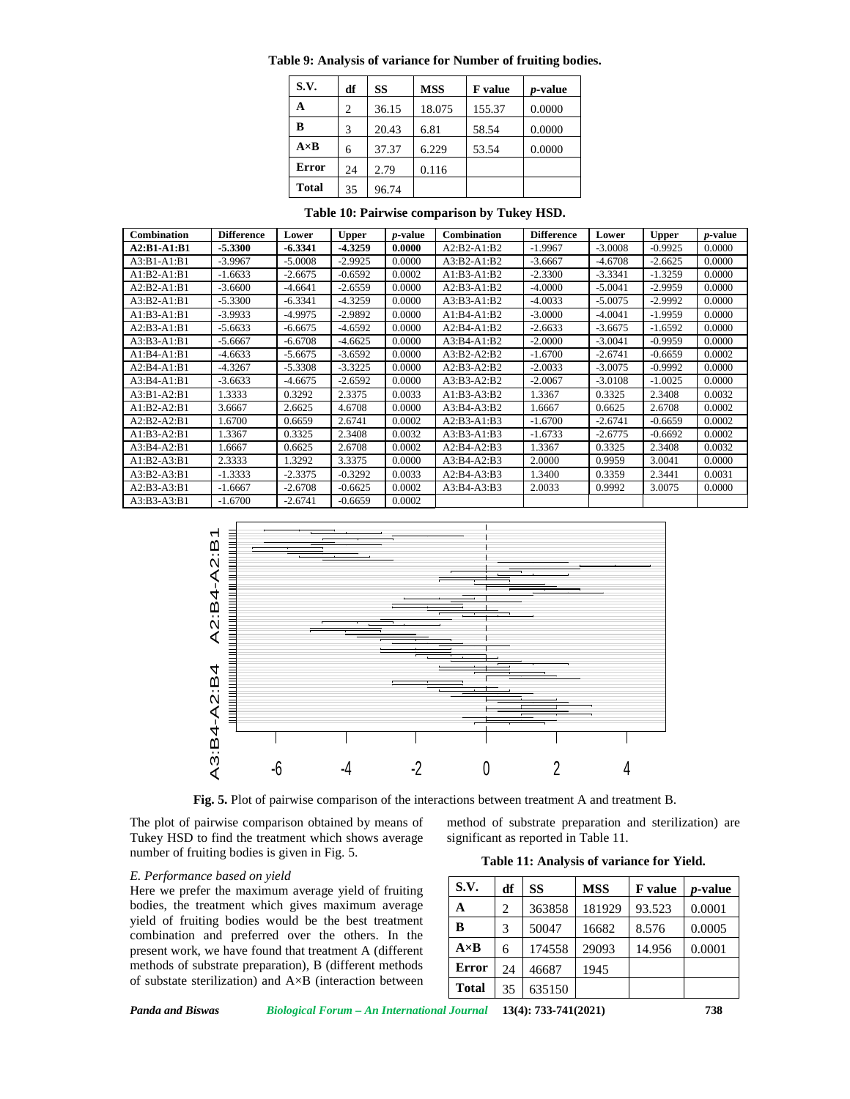| Table 9: Analysis of variance for Number of fruiting bodies. |  |  |
|--------------------------------------------------------------|--|--|
|                                                              |  |  |

| S.V.         | df | SS    | <b>MSS</b> | <b>F</b> value | <i>p</i> -value |
|--------------|----|-------|------------|----------------|-----------------|
| А            | 2  | 36.15 | 18.075     | 155.37         | 0.0000          |
| в            | 3  | 20.43 | 6.81       | 58.54          | 0.0000          |
| $A \times B$ | 6  | 37.37 | 6.229      | 53.54          | 0.0000          |
| Error        | 24 | 2.79  | 0.116      |                |                 |
| <b>Total</b> | 35 | 96.74 |            |                |                 |

**Table 10: Pairwise comparison by Tukey HSD.**

| Combination   | <b>Difference</b> | Lower     | <b>Upper</b> | <i>p</i> -value | <b>Combination</b> | <b>Difference</b> | Lower     | <b>Upper</b> | <i>p</i> -value |
|---------------|-------------------|-----------|--------------|-----------------|--------------------|-------------------|-----------|--------------|-----------------|
| $A2:B1-A1:B1$ | $-5.3300$         | $-6.3341$ | $-4.3259$    | 0.0000          | $A2:B2-A1:B2$      | $-1.9967$         | $-3.0008$ | $-0.9925$    | 0.0000          |
| $A3:B1-A1:B1$ | $-3.9967$         | $-5.0008$ | $-2.9925$    | 0.0000          | $A3:B2-A1:B2$      | $-3.6667$         | $-4.6708$ | $-2.6625$    | 0.0000          |
| $A1:B2-A1:B1$ | $-1.6633$         | $-2.6675$ | $-0.6592$    | 0.0002          | A1:B3-A1:B2        | $-2.3300$         | $-3.3341$ | $-1.3259$    | 0.0000          |
| $A2:B2-A1:B1$ | $-3.6600$         | $-4.6641$ | $-2.6559$    | 0.0000          | $A2:B3-A1:B2$      | $-4.0000$         | $-5.0041$ | $-2.9959$    | 0.0000          |
| $A3:B2-A1:B1$ | $-5.3300$         | $-6.3341$ | $-4.3259$    | 0.0000          | $A3:B3-A1:B2$      | $-4.0033$         | $-5.0075$ | $-2.9992$    | 0.0000          |
| $A1:B3-A1:B1$ | $-3.9933$         | $-4.9975$ | $-2.9892$    | 0.0000          | $A1:B4-A1:B2$      | $-3.0000$         | $-4.0041$ | $-1.9959$    | 0.0000          |
| $A2:B3-A1:B1$ | $-5.6633$         | $-6.6675$ | $-4.6592$    | 0.0000          | $A2:B4-A1:B2$      | $-2.6633$         | $-3.6675$ | $-1.6592$    | 0.0000          |
| $A3:B3-A1:B1$ | $-5.6667$         | $-6.6708$ | $-4.6625$    | 0.0000          | $A3:B4-A1:B2$      | $-2.0000$         | $-3.0041$ | $-0.9959$    | 0.0000          |
| $A1:B4-A1:B1$ | -4.6633           | $-5.6675$ | $-3.6592$    | 0.0000          | $A3:B2-A2:B2$      | $-1.6700$         | $-2.6741$ | $-0.6659$    | 0.0002          |
| $A2:B4-A1:B1$ | $-4.3267$         | $-5.3308$ | $-3.3225$    | 0.0000          | $A2:B3-A2:B2$      | $-2.0033$         | $-3.0075$ | $-0.9992$    | 0.0000          |
| $A3:B4-A1:B1$ | $-3.6633$         | $-4.6675$ | $-2.6592$    | 0.0000          | $A3:B3-A2:B2$      | $-2.0067$         | $-3.0108$ | $-1.0025$    | 0.0000          |
| $A3:B1-A2:B1$ | 1.3333            | 0.3292    | 2.3375       | 0.0033          | $A1:B3-A3:B2$      | 1.3367            | 0.3325    | 2.3408       | 0.0032          |
| $A1:B2-A2:B1$ | 3.6667            | 2.6625    | 4.6708       | 0.0000          | $A3:B4-A3:B2$      | 1.6667            | 0.6625    | 2.6708       | 0.0002          |
| $A2:B2-A2:B1$ | 1.6700            | 0.6659    | 2.6741       | 0.0002          | $A2:B3-A1:B3$      | $-1.6700$         | $-2.6741$ | $-0.6659$    | 0.0002          |
| $A1:B3-A2:B1$ | 1.3367            | 0.3325    | 2.3408       | 0.0032          | $A3:B3-A1:B3$      | $-1.6733$         | $-2.6775$ | $-0.6692$    | 0.0002          |
| $A3:B4-A2:B1$ | 1.6667            | 0.6625    | 2.6708       | 0.0002          | $A2:B4-A2:B3$      | 1.3367            | 0.3325    | 2.3408       | 0.0032          |
| $A1:B2-A3:B1$ | 2.3333            | 1.3292    | 3.3375       | 0.0000          | $A3:B4-A2:B3$      | 2.0000            | 0.9959    | 3.0041       | 0.0000          |
| $A3:B2-A3:B1$ | $-1.3333$         | $-2.3375$ | $-0.3292$    | 0.0033          | $A2:B4-A3:B3$      | 1.3400            | 0.3359    | 2.3441       | 0.0031          |
| $A2:B3-A3:B1$ | $-1.6667$         | $-2.6708$ | $-0.6625$    | 0.0002          | $A3:B4-A3:B3$      | 2.0033            | 0.9992    | 3.0075       | 0.0000          |
| $A3:B3-A3:B1$ | $-1.6700$         | $-2.6741$ | $-0.6659$    | 0.0002          |                    |                   |           |              |                 |



**Fig. 5.** Plot of pairwise comparison of the interactions between treatment A and treatment B.

The plot of pairwise comparison obtained by means of Tukey HSD to find the treatment which shows average number of fruiting bodies is given in Fig. 5. by means of method of substrate preparation and sterilization) are

significant as reported in Table 11.

# *E. Performance based on yield*

Here we prefer the maximum average yield of fruiting bodies, the treatment which gives maximum average yield of fruiting bodies would be the best treatment combination and preferred over the others. In the present work, we have found that treatment A (different methods of substrate preparation), B (different methods of substate sterilization) and A×B (interaction between

| S.V.         | df | SS     | <b>MSS</b> | <b>F</b> value | <i>p</i> -value |
|--------------|----|--------|------------|----------------|-----------------|
| A            | 2  | 363858 | 181929     | 93.523         | 0.0001          |
| B            | 3  | 50047  | 16682      | 8.576          | 0.0005          |
| $A \times B$ | 6  | 174558 | 29093      | 14.956         | 0.0001          |
| Error        | 24 | 46687  | 1945       |                |                 |
| <b>Total</b> | 35 | 635150 |            |                |                 |

*Panda and Biswas Biological Forum – An International Journal* **13(4): 733-741(2021) 738**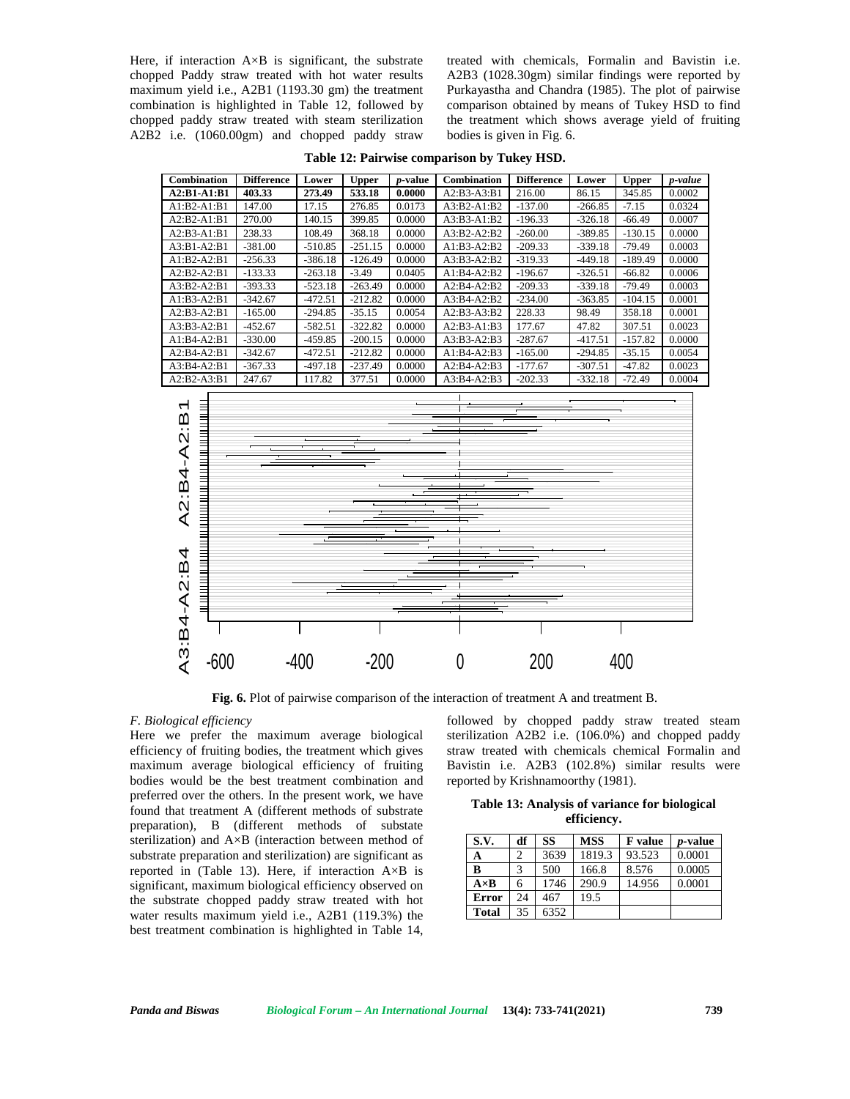Here, if interaction  $A \times B$  is significant, the substrate chopped Paddy straw treated with hot water results maximum yield i.e., A2B1 (1193.30 gm) the treatment combination is highlighted in Table 12, followed by chopped paddy straw treated with steam sterilization A2B2 i.e. (1060.00gm) and chopped paddy straw treated with chemicals, Formalin and Bavistin i.e. A2B3 (1028.30gm) similar findings were reported by Purkayastha and Chandra (1985). The plot of pairwise comparison obtained by means of Tukey HSD to find the treatment which shows average yield of fruiting bodies is given in Fig. 6.

**Table 12: Pairwise comparison by Tukey HSD.**

| <b>Combination</b> | <b>Difference</b> | Lower     | <b>Upper</b> | <i>p</i> -value | <b>Combination</b> | <b>Difference</b> | Lower     | <b>Upper</b> | p-value |
|--------------------|-------------------|-----------|--------------|-----------------|--------------------|-------------------|-----------|--------------|---------|
| $A2:B1-A1:B1$      | 403.33            | 273.49    | 533.18       | 0.0000          | $A2:B3-A3:B1$      | 216.00            | 86.15     | 345.85       | 0.0002  |
| $A1:B2-A1:B1$      | 147.00            | 17.15     | 276.85       | 0.0173          | $A3:B2-A1:B2$      | $-137.00$         | $-266.85$ | $-7.15$      | 0.0324  |
| $A2:B2-A1:B1$      | 270.00            | 140.15    | 399.85       | 0.0000          | $A3:B3-A1:B2$      | $-196.33$         | $-326.18$ | $-66.49$     | 0.0007  |
| $A2:B3-A1:B1$      | 238.33            | 108.49    | 368.18       | 0.0000          | $A3:B2-A2:B2$      | $-260.00$         | $-389.85$ | $-130.15$    | 0.0000  |
| $A3:B1-A2:B1$      | $-381.00$         | $-510.85$ | $-251.15$    | 0.0000          | $A1:B3-A2:B2$      | $-209.33$         | $-339.18$ | $-79.49$     | 0.0003  |
| $A1:B2-A2:B1$      | $-256.33$         | $-386.18$ | $-126.49$    | 0.0000          | $A3:B3-A2:B2$      | $-319.33$         | $-449.18$ | $-189.49$    | 0.0000  |
| $A2:B2-A2:B1$      | $-133.33$         | $-263.18$ | $-3.49$      | 0.0405          | $A1:B4-A2:B2$      | $-196.67$         | $-326.51$ | $-66.82$     | 0.0006  |
| $A3:B2-A2:B1$      | $-393.33$         | $-523.18$ | $-263.49$    | 0.0000          | $A2:B4-A2:B2$      | $-209.33$         | $-339.18$ | $-79.49$     | 0.0003  |
| $A1:B3-A2:B1$      | $-342.67$         | $-472.51$ | $-212.82$    | 0.0000          | $A3:B4-A2:B2$      | $-234.00$         | $-363.85$ | $-104.15$    | 0.0001  |
| $A2:B3-A2:B1$      | $-165.00$         | $-294.85$ | $-35.15$     | 0.0054          | $A2:B3-A3:B2$      | 228.33            | 98.49     | 358.18       | 0.0001  |
| $A3:B3-A2:B1$      | $-452.67$         | $-582.51$ | $-322.82$    | 0.0000          | $A2:B3-A1:B3$      | 177.67            | 47.82     | 307.51       | 0.0023  |
| $A1:B4-A2:B1$      | $-330.00$         | -459.85   | $-200.15$    | 0.0000          | $A3:B3-A2:B3$      | $-287.67$         | $-417.51$ | $-157.82$    | 0.0000  |
| $A2:B4-A2:B1$      | $-342.67$         | $-472.51$ | $-212.82$    | 0.0000          | $A1:B4-A2:B3$      | $-165.00$         | $-294.85$ | $-35.15$     | 0.0054  |
| $A3:B4-A2:B1$      | $-367.33$         | $-497.18$ | $-237.49$    | 0.0000          | $A2:B4-A2:B3$      | $-177.67$         | $-307.51$ | $-47.82$     | 0.0023  |
| $A2:B2-A3:B1$      | 247.67            | 117.82    | 377.51       | 0.0000          | $A3:B4-A2:B3$      | $-202.33$         | $-332.18$ | $-72.49$     | 0.0004  |



**Fig. 6.** Plot of pairwise comparison of the interaction of treatment A and treatment B.

# *F. Biological efficiency*

Here we prefer the maximum average biological efficiency of fruiting bodies, the treatment which gives maximum average biological efficiency of fruiting bodies would be the best treatment combination and preferred over the others. In the present work, we have found that treatment A (different methods of substrate preparation), B (different methods of substate sterilization) and A×B (interaction between method of substrate preparation and sterilization) are significant as reported in (Table 13). Here, if interaction A×B is significant, maximum biological efficiency observed on the substrate chopped paddy straw treated with hot water results maximum yield i.e., A2B1 (119.3%) the best treatment combination is highlighted in Table 14,

followed by chopped paddy straw treated steam sterilization A2B2 i.e. (106.0%) and chopped paddy straw treated with chemicals chemical Formalin and Bavistin i.e. A2B3 (102.8%) similar results were reported by Krishnamoorthy (1981).

**Table 13: Analysis of variance for biological efficiency.**

| S.V.         | df | SS   | <b>MSS</b> | <b>F</b> value | <i>p</i> -value |
|--------------|----|------|------------|----------------|-----------------|
| А            |    | 3639 | 1819.3     | 93.523         | 0.0001          |
| в            |    | 500  | 166.8      | 8.576          | 0.0005          |
| $A \times B$ | 6  | 1746 | 290.9      | 14.956         | 0.0001          |
| Error        | 24 | 467  | 19.5       |                |                 |
| <b>Total</b> | 35 | 6352 |            |                |                 |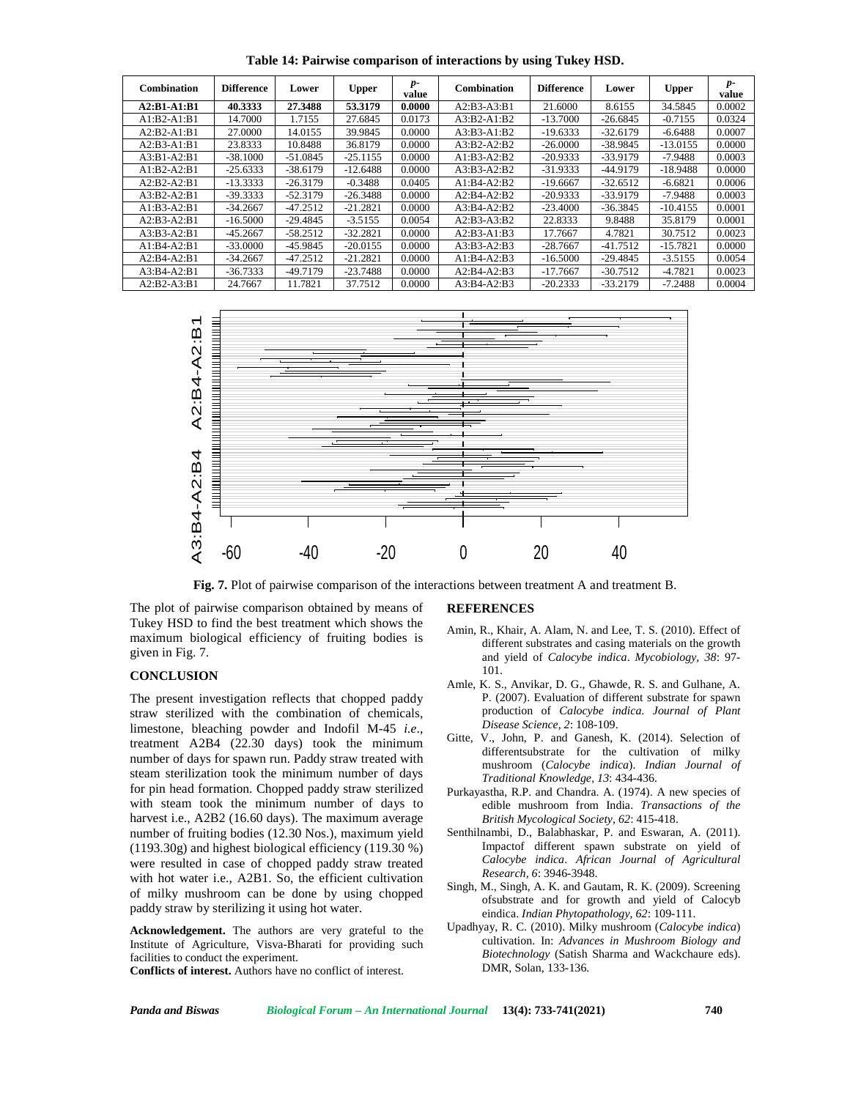**Table 14: Pairwise comparison of interactions by using Tukey HSD.**

| <b>Combination</b> | <b>Difference</b> | Lower      | <b>Upper</b> | $p-$<br>value | Combination   | <b>Difference</b> | Lower      | <b>Upper</b> | $p-$<br>value |
|--------------------|-------------------|------------|--------------|---------------|---------------|-------------------|------------|--------------|---------------|
| $A2:B1-A1:B1$      | 40.3333           | 27.3488    | 53.3179      | 0.0000        | $A2:B3-A3:B1$ | 21.6000           | 8.6155     | 34.5845      | 0.0002        |
| $A1:B2-A1:B1$      | 14.7000           | 1.7155     | 27.6845      | 0.0173        | A3:B2-A1:B2   | $-13.7000$        | $-26.6845$ | $-0.7155$    | 0.0324        |
| $A2:B2-A1:B1$      | 27.0000           | 14.0155    | 39.9845      | 0.0000        | $A3:B3-A1:B2$ | $-19.6333$        | $-32.6179$ | $-6.6488$    | 0.0007        |
| A2:B3-A1:B1        | 23.8333           | 10.8488    | 36.8179      | 0.0000        | A3:B2-A2:B2   | $-26,0000$        | $-38.9845$ | $-13.0155$   | 0.0000        |
| $A3:B1-A2:B1$      | $-38.1000$        | $-51.0845$ | $-25.1155$   | 0.0000        | $A1:B3-A2:B2$ | $-20.9333$        | $-33.9179$ | $-7.9488$    | 0.0003        |
| $A1:B2-A2:B1$      | $-25.6333$        | $-38.6179$ | $-12.6488$   | 0.0000        | $A3:B3-A2:B2$ | $-31.9333$        | -44.9179   | $-18.9488$   | 0.0000        |
| $A2:B2-A2:B1$      | $-13.3333$        | $-26.3179$ | $-0.3488$    | 0.0405        | $A1:B4-A2:B2$ | $-19.6667$        | $-32.6512$ | $-6.6821$    | 0.0006        |
| $A3:B2-A2:B1$      | $-39.3333$        | $-52.3179$ | $-26.3488$   | 0.0000        | A2:B4-A2:B2   | $-20.9333$        | $-33.9179$ | $-7.9488$    | 0.0003        |
| $A1:B3-A2:B1$      | $-34.2667$        | $-47.2512$ | $-21.2821$   | 0.0000        | A3:B4-A2:B2   | $-23.4000$        | $-36.3845$ | $-10.4155$   | 0.0001        |
| $A2:B3-A2:B1$      | $-16.5000$        | $-29.4845$ | $-3.5155$    | 0.0054        | $A2:B3-A3:B2$ | 22.8333           | 9.8488     | 35.8179      | 0.0001        |
| $A3:B3-A2:B1$      | $-45.2667$        | $-58.2512$ | $-32.2821$   | 0.0000        | A2:B3-A1:B3   | 17.7667           | 4.7821     | 30.7512      | 0.0023        |
| $A1:B4-A2:B1$      | $-33,0000$        | $-45.9845$ | $-20.0155$   | 0.0000        | $A3:B3-A2:B3$ | $-28.7667$        | $-41.7512$ | $-15.7821$   | 0.0000        |
| $A2:B4-A2:B1$      | $-34.2667$        | $-47.2512$ | $-21.2821$   | 0.0000        | A1:B4-A2:B3   | $-16.5000$        | $-29.4845$ | $-3.5155$    | 0.0054        |
| $A3:B4-A2:B1$      | $-36.7333$        | $-49.7179$ | $-23.7488$   | 0.0000        | $A2:B4-A2:B3$ | $-17.7667$        | $-30.7512$ | $-4.7821$    | 0.0023        |
| A2:B2-A3:B1        | 24.7667           | 11.7821    | 37.7512      | 0.0000        | A3:B4-A2:B3   | $-20.2333$        | $-33.2179$ | $-7.2488$    | 0.0004        |



**Fig. 7.** Plot of pairwise comparison of the interactions between treatment A and treatment B.

The plot of pairwise comparison obtained by means of Tukey HSD to find the best treatment which shows the maximum biological efficiency of fruiting bodies is given in Fig. 7.

#### **CONCLUSION**

The present investigation reflects that chopped paddy straw sterilized with the combination of chemicals, limestone, bleaching powder and Indofil M-45 *i.e*., treatment A2B4 (22.30 days) took the minimum number of days for spawn run. Paddy straw treated with steam sterilization took the minimum number of days for pin head formation. Chopped paddy straw sterilized with steam took the minimum number of days to harvest i.e., A2B2 (16.60 days). The maximum average number of fruiting bodies (12.30 Nos.), maximum yield (1193.30g) and highest biological efficiency (119.30 %) were resulted in case of chopped paddy straw treated with hot water i.e., A2B1. So, the efficient cultivation of milky mushroom can be done by using chopped paddy straw by sterilizing it using hot water.

**Acknowledgement.** The authors are very grateful to the Institute of Agriculture, Visva-Bharati for providing such facilities to conduct the experiment. **Conflicts of interest.** Authors have no conflict of interest.

# by means of **REFERENCES**

- Amin, R., Khair, A. Alam, N. and Lee, T. S. (2010). Effect of different substrates and casing materials on the growth and yield of *Calocybe indica*. *Mycobiology*, *38*: 97- 101.
- Amle, K. S., Anvikar, D. G., Ghawde, R. S. and Gulhane, A. P. (2007). Evaluation of different substrate for spawn production of *Calocybe indica*. *Journal of Plant Disease Science*, *2*: 108-109.
- Gitte, V., John, P. and Ganesh, K. (2014). Selection of differentsubstrate for the cultivation of milky mushroom (*Calocybe indica*). *Indian Journal of Traditional Knowledge*, *13*: 434-436.
- Purkayastha, R.P. and Chandra. A. (1974). A new species of edible mushroom from India. *Transactions of the British Mycological Society*, *62*: 415-418.
- Senthilnambi, D., Balabhaskar, P. and Eswaran, A. (2011). Impactof different spawn substrate on yield of *Calocybe indica*. *African Journal of Agricultural Research*, *6*: 3946-3948.
- Singh, M., Singh, A. K. and Gautam, R. K. (2009). Screening ofsubstrate and for growth and yield of Calocyb eindica. *Indian Phytopath*o*logy*, *62*: 109-111.
- Upadhyay, R. C. (2010). Milky mushroom (*Calocybe indica*) cultivation. In: *Advances in Mushroom Biology and Biotechnology* (Satish Sharma and Wackchaure eds). DMR, Solan, 133-136.

*Panda and Biswas Biological Forum – An International Journal* **13(4): 733-741(2021) 740**